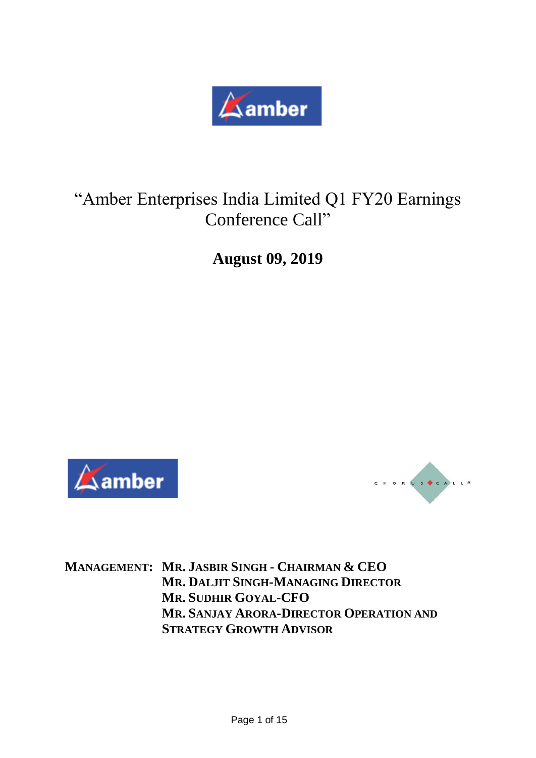

# "Amber Enterprises India Limited Q1 FY20 Earnings Conference Call"

**August 09, 2019**





**MANAGEMENT: MR. JASBIR SINGH - CHAIRMAN & CEO MR. DALJIT SINGH-MANAGING DIRECTOR MR. SUDHIR GOYAL-CFO MR. SANJAY ARORA-DIRECTOR OPERATION AND STRATEGY GROWTH ADVISOR**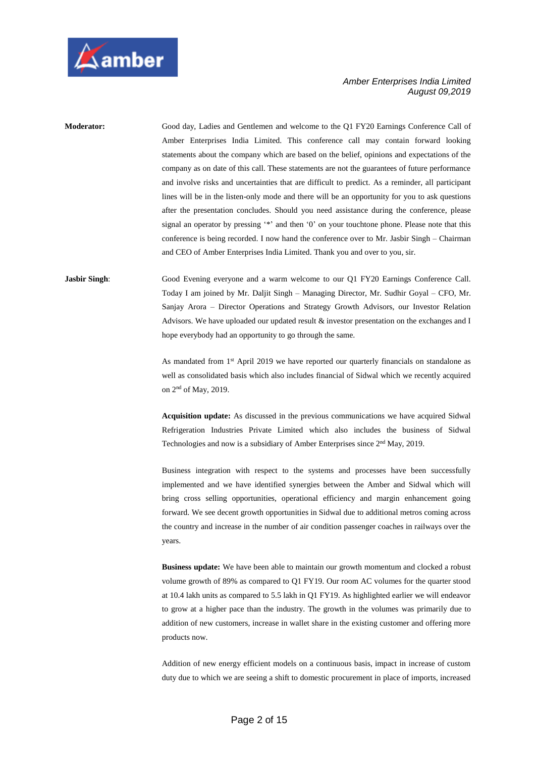

**Moderator:** Good day, Ladies and Gentlemen and welcome to the Q1 FY20 Earnings Conference Call of Amber Enterprises India Limited. This conference call may contain forward looking statements about the company which are based on the belief, opinions and expectations of the company as on date of this call. These statements are not the guarantees of future performance and involve risks and uncertainties that are difficult to predict. As a reminder, all participant lines will be in the listen-only mode and there will be an opportunity for you to ask questions after the presentation concludes. Should you need assistance during the conference, please signal an operator by pressing '\*' and then '0' on your touchtone phone. Please note that this conference is being recorded. I now hand the conference over to Mr. Jasbir Singh – Chairman and CEO of Amber Enterprises India Limited. Thank you and over to you, sir.

**Jasbir Singh:** Good Evening everyone and a warm welcome to our Q1 FY20 Earnings Conference Call. Today I am joined by Mr. Daljit Singh – Managing Director, Mr. Sudhir Goyal – CFO, Mr. Sanjay Arora – Director Operations and Strategy Growth Advisors, our Investor Relation Advisors. We have uploaded our updated result & investor presentation on the exchanges and I hope everybody had an opportunity to go through the same.

> As mandated from  $1<sup>st</sup>$  April 2019 we have reported our quarterly financials on standalone as well as consolidated basis which also includes financial of Sidwal which we recently acquired on 2nd of May, 2019.

> **Acquisition update:** As discussed in the previous communications we have acquired Sidwal Refrigeration Industries Private Limited which also includes the business of Sidwal Technologies and now is a subsidiary of Amber Enterprises since 2<sup>nd</sup> May, 2019.

> Business integration with respect to the systems and processes have been successfully implemented and we have identified synergies between the Amber and Sidwal which will bring cross selling opportunities, operational efficiency and margin enhancement going forward. We see decent growth opportunities in Sidwal due to additional metros coming across the country and increase in the number of air condition passenger coaches in railways over the years.

> **Business update:** We have been able to maintain our growth momentum and clocked a robust volume growth of 89% as compared to Q1 FY19. Our room AC volumes for the quarter stood at 10.4 lakh units as compared to 5.5 lakh in Q1 FY19. As highlighted earlier we will endeavor to grow at a higher pace than the industry. The growth in the volumes was primarily due to addition of new customers, increase in wallet share in the existing customer and offering more products now.

> Addition of new energy efficient models on a continuous basis, impact in increase of custom duty due to which we are seeing a shift to domestic procurement in place of imports, increased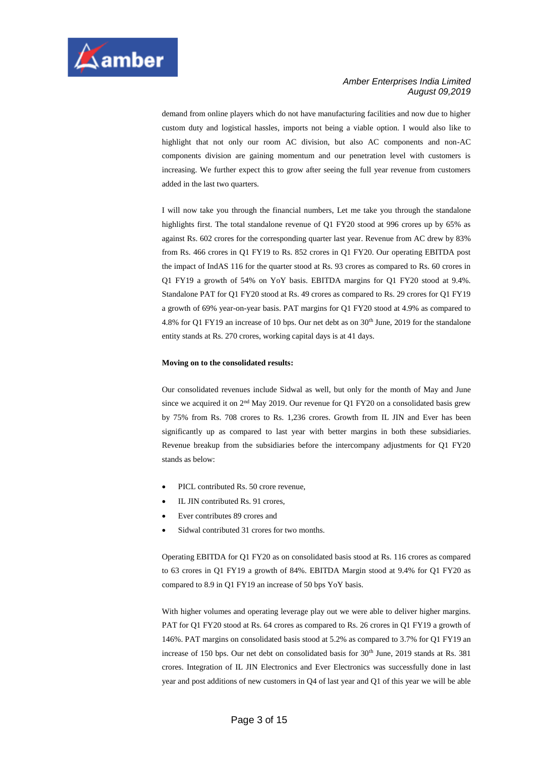

demand from online players which do not have manufacturing facilities and now due to higher custom duty and logistical hassles, imports not being a viable option. I would also like to highlight that not only our room AC division, but also AC components and non-AC components division are gaining momentum and our penetration level with customers is increasing. We further expect this to grow after seeing the full year revenue from customers added in the last two quarters.

I will now take you through the financial numbers, Let me take you through the standalone highlights first. The total standalone revenue of Q1 FY20 stood at 996 crores up by 65% as against Rs. 602 crores for the corresponding quarter last year. Revenue from AC drew by 83% from Rs. 466 crores in Q1 FY19 to Rs. 852 crores in Q1 FY20. Our operating EBITDA post the impact of IndAS 116 for the quarter stood at Rs. 93 crores as compared to Rs. 60 crores in Q1 FY19 a growth of 54% on YoY basis. EBITDA margins for Q1 FY20 stood at 9.4%. Standalone PAT for Q1 FY20 stood at Rs. 49 crores as compared to Rs. 29 crores for Q1 FY19 a growth of 69% year-on-year basis. PAT margins for Q1 FY20 stood at 4.9% as compared to 4.8% for Q1 FY19 an increase of 10 bps. Our net debt as on  $30<sup>th</sup>$  June, 2019 for the standalone entity stands at Rs. 270 crores, working capital days is at 41 days.

#### **Moving on to the consolidated results:**

Our consolidated revenues include Sidwal as well, but only for the month of May and June since we acquired it on 2nd May 2019. Our revenue for Q1 FY20 on a consolidated basis grew by 75% from Rs. 708 crores to Rs. 1,236 crores. Growth from IL JIN and Ever has been significantly up as compared to last year with better margins in both these subsidiaries. Revenue breakup from the subsidiaries before the intercompany adjustments for Q1 FY20 stands as below:

- PICL contributed Rs. 50 crore revenue,
- IL JIN contributed Rs. 91 crores.
- Ever contributes 89 crores and
- Sidwal contributed 31 crores for two months.

Operating EBITDA for Q1 FY20 as on consolidated basis stood at Rs. 116 crores as compared to 63 crores in Q1 FY19 a growth of 84%. EBITDA Margin stood at 9.4% for Q1 FY20 as compared to 8.9 in Q1 FY19 an increase of 50 bps YoY basis.

With higher volumes and operating leverage play out we were able to deliver higher margins. PAT for Q1 FY20 stood at Rs. 64 crores as compared to Rs. 26 crores in Q1 FY19 a growth of 146%. PAT margins on consolidated basis stood at 5.2% as compared to 3.7% for Q1 FY19 an increase of 150 bps. Our net debt on consolidated basis for 30<sup>th</sup> June, 2019 stands at Rs. 381 crores. Integration of IL JIN Electronics and Ever Electronics was successfully done in last year and post additions of new customers in Q4 of last year and Q1 of this year we will be able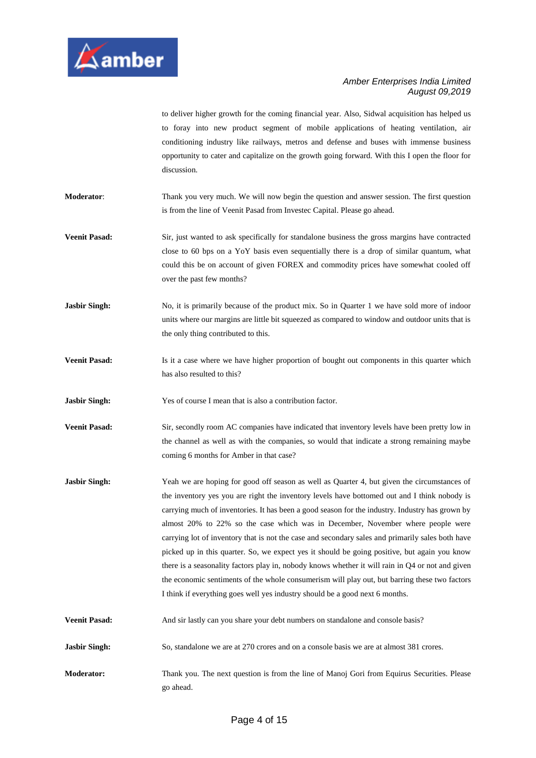

to deliver higher growth for the coming financial year. Also, Sidwal acquisition has helped us to foray into new product segment of mobile applications of heating ventilation, air conditioning industry like railways, metros and defense and buses with immense business opportunity to cater and capitalize on the growth going forward. With this I open the floor for discussion.

- **Moderator:** Thank you very much. We will now begin the question and answer session. The first question is from the line of Veenit Pasad from Investec Capital. Please go ahead.
- **Veenit Pasad:** Sir, just wanted to ask specifically for standalone business the gross margins have contracted close to 60 bps on a YoY basis even sequentially there is a drop of similar quantum, what could this be on account of given FOREX and commodity prices have somewhat cooled off over the past few months?
- **Jasbir Singh:** No, it is primarily because of the product mix. So in Quarter 1 we have sold more of indoor units where our margins are little bit squeezed as compared to window and outdoor units that is the only thing contributed to this.
- **Veenit Pasad:** Is it a case where we have higher proportion of bought out components in this quarter which has also resulted to this?

**Jasbir Singh:** Yes of course I mean that is also a contribution factor.

- **Veenit Pasad:** Sir, secondly room AC companies have indicated that inventory levels have been pretty low in the channel as well as with the companies, so would that indicate a strong remaining maybe coming 6 months for Amber in that case?
- **Jasbir Singh:** Yeah we are hoping for good off season as well as Quarter 4, but given the circumstances of the inventory yes you are right the inventory levels have bottomed out and I think nobody is carrying much of inventories. It has been a good season for the industry. Industry has grown by almost 20% to 22% so the case which was in December, November where people were carrying lot of inventory that is not the case and secondary sales and primarily sales both have picked up in this quarter. So, we expect yes it should be going positive, but again you know there is a seasonality factors play in, nobody knows whether it will rain in Q4 or not and given the economic sentiments of the whole consumerism will play out, but barring these two factors I think if everything goes well yes industry should be a good next 6 months.

**Veenit Pasad:** And sir lastly can you share your debt numbers on standalone and console basis?

**Jasbir Singh:** So, standalone we are at 270 crores and on a console basis we are at almost 381 crores.

**Moderator:** Thank you. The next question is from the line of Manoj Gori from Equirus Securities. Please go ahead.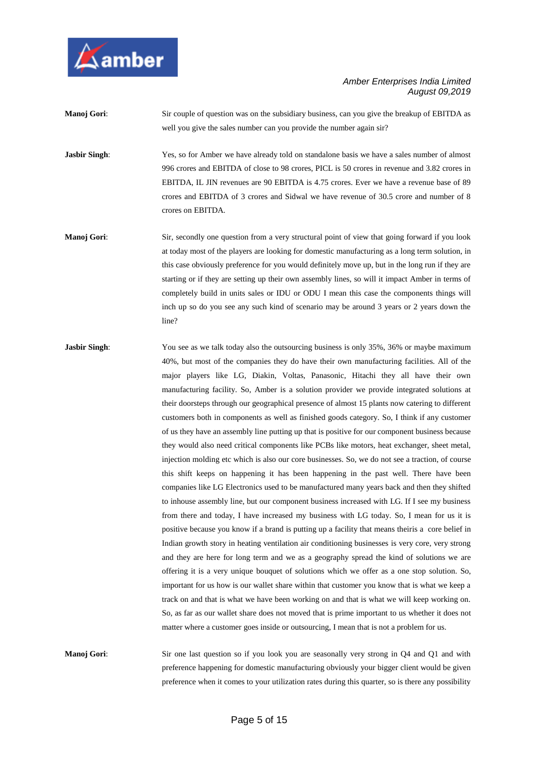

**Manoj Gori:** Sir couple of question was on the subsidiary business, can you give the breakup of EBITDA as well you give the sales number can you provide the number again sir? **Jasbir Singh:** Yes, so for Amber we have already told on standalone basis we have a sales number of almost 996 crores and EBITDA of close to 98 crores, PICL is 50 crores in revenue and 3.82 crores in EBITDA, IL JIN revenues are 90 EBITDA is 4.75 crores. Ever we have a revenue base of 89 crores and EBITDA of 3 crores and Sidwal we have revenue of 30.5 crore and number of 8 crores on EBITDA.

**Manoj Gori:** Sir, secondly one question from a very structural point of view that going forward if you look at today most of the players are looking for domestic manufacturing as a long term solution, in this case obviously preference for you would definitely move up, but in the long run if they are starting or if they are setting up their own assembly lines, so will it impact Amber in terms of completely build in units sales or IDU or ODU I mean this case the components things will inch up so do you see any such kind of scenario may be around 3 years or 2 years down the line?

**Jasbir Singh:** You see as we talk today also the outsourcing business is only 35%, 36% or maybe maximum 40%, but most of the companies they do have their own manufacturing facilities. All of the major players like LG, Diakin, Voltas, Panasonic, Hitachi they all have their own manufacturing facility. So, Amber is a solution provider we provide integrated solutions at their doorsteps through our geographical presence of almost 15 plants now catering to different customers both in components as well as finished goods category. So, I think if any customer of us they have an assembly line putting up that is positive for our component business because they would also need critical components like PCBs like motors, heat exchanger, sheet metal, injection molding etc which is also our core businesses. So, we do not see a traction, of course this shift keeps on happening it has been happening in the past well. There have been companies like LG Electronics used to be manufactured many years back and then they shifted to inhouse assembly line, but our component business increased with LG. If I see my business from there and today, I have increased my business with LG today. So, I mean for us it is positive because you know if a brand is putting up a facility that means theiris a core belief in Indian growth story in heating ventilation air conditioning businesses is very core, very strong and they are here for long term and we as a geography spread the kind of solutions we are offering it is a very unique bouquet of solutions which we offer as a one stop solution. So, important for us how is our wallet share within that customer you know that is what we keep a track on and that is what we have been working on and that is what we will keep working on. So, as far as our wallet share does not moved that is prime important to us whether it does not matter where a customer goes inside or outsourcing, I mean that is not a problem for us.

**Manoj Gori:** Sir one last question so if you look you are seasonally very strong in Q4 and Q1 and with preference happening for domestic manufacturing obviously your bigger client would be given preference when it comes to your utilization rates during this quarter, so is there any possibility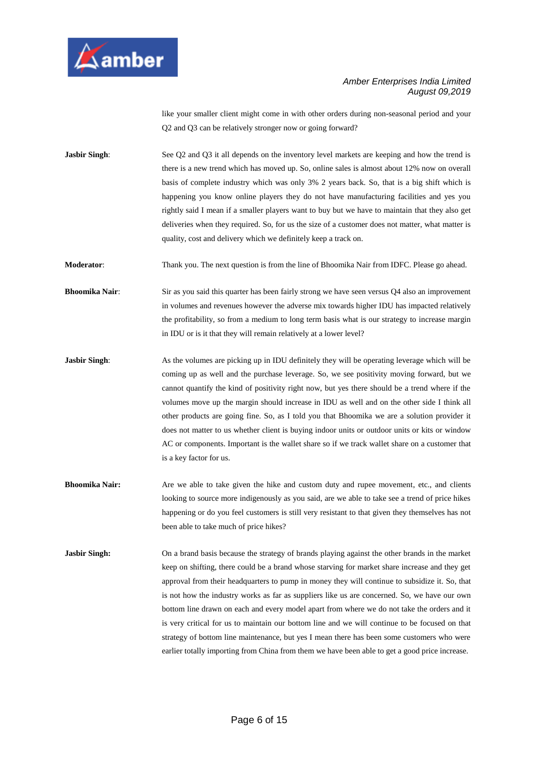

like your smaller client might come in with other orders during non-seasonal period and your Q2 and Q3 can be relatively stronger now or going forward?

**Jasbir Singh:** See Q2 and Q3 it all depends on the inventory level markets are keeping and how the trend is there is a new trend which has moved up. So, online sales is almost about 12% now on overall basis of complete industry which was only 3% 2 years back. So, that is a big shift which is happening you know online players they do not have manufacturing facilities and yes you rightly said I mean if a smaller players want to buy but we have to maintain that they also get deliveries when they required. So, for us the size of a customer does not matter, what matter is quality, cost and delivery which we definitely keep a track on.

**Moderator**: Thank you. The next question is from the line of Bhoomika Nair from IDFC. Please go ahead.

**Bhoomika Nair:** Sir as you said this quarter has been fairly strong we have seen versus Q4 also an improvement in volumes and revenues however the adverse mix towards higher IDU has impacted relatively the profitability, so from a medium to long term basis what is our strategy to increase margin in IDU or is it that they will remain relatively at a lower level?

**Jasbir Singh**: As the volumes are picking up in IDU definitely they will be operating leverage which will be coming up as well and the purchase leverage. So, we see positivity moving forward, but we cannot quantify the kind of positivity right now, but yes there should be a trend where if the volumes move up the margin should increase in IDU as well and on the other side I think all other products are going fine. So, as I told you that Bhoomika we are a solution provider it does not matter to us whether client is buying indoor units or outdoor units or kits or window AC or components. Important is the wallet share so if we track wallet share on a customer that is a key factor for us.

- **Bhoomika Nair:** Are we able to take given the hike and custom duty and rupee movement, etc., and clients looking to source more indigenously as you said, are we able to take see a trend of price hikes happening or do you feel customers is still very resistant to that given they themselves has not been able to take much of price hikes?
- **Jasbir Singh:** On a brand basis because the strategy of brands playing against the other brands in the market keep on shifting, there could be a brand whose starving for market share increase and they get approval from their headquarters to pump in money they will continue to subsidize it. So, that is not how the industry works as far as suppliers like us are concerned. So, we have our own bottom line drawn on each and every model apart from where we do not take the orders and it is very critical for us to maintain our bottom line and we will continue to be focused on that strategy of bottom line maintenance, but yes I mean there has been some customers who were earlier totally importing from China from them we have been able to get a good price increase.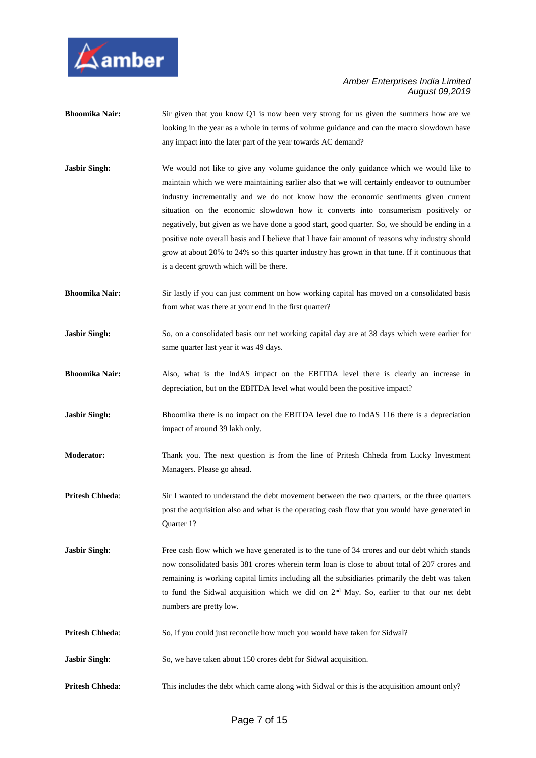

- **Bhoomika Nair:** Sir given that you know Q1 is now been very strong for us given the summers how are we looking in the year as a whole in terms of volume guidance and can the macro slowdown have any impact into the later part of the year towards AC demand?
- **Jasbir Singh:** We would not like to give any volume guidance the only guidance which we would like to maintain which we were maintaining earlier also that we will certainly endeavor to outnumber industry incrementally and we do not know how the economic sentiments given current situation on the economic slowdown how it converts into consumerism positively or negatively, but given as we have done a good start, good quarter. So, we should be ending in a positive note overall basis and I believe that I have fair amount of reasons why industry should grow at about 20% to 24% so this quarter industry has grown in that tune. If it continuous that is a decent growth which will be there.
- **Bhoomika Nair:** Sir lastly if you can just comment on how working capital has moved on a consolidated basis from what was there at your end in the first quarter?
- **Jasbir Singh:** So, on a consolidated basis our net working capital day are at 38 days which were earlier for same quarter last year it was 49 days.
- **Bhoomika Nair:** Also, what is the IndAS impact on the EBITDA level there is clearly an increase in depreciation, but on the EBITDA level what would been the positive impact?
- **Jasbir Singh:** Bhoomika there is no impact on the EBITDA level due to IndAS 116 there is a depreciation impact of around 39 lakh only.
- **Moderator:** Thank you. The next question is from the line of Pritesh Chheda from Lucky Investment Managers. Please go ahead.
- **Pritesh Chheda:** Sir I wanted to understand the debt movement between the two quarters, or the three quarters post the acquisition also and what is the operating cash flow that you would have generated in Quarter 1?
- **Jasbir Singh:** Free cash flow which we have generated is to the tune of 34 crores and our debt which stands now consolidated basis 381 crores wherein term loan is close to about total of 207 crores and remaining is working capital limits including all the subsidiaries primarily the debt was taken to fund the Sidwal acquisition which we did on 2nd May. So, earlier to that our net debt numbers are pretty low.
- **Pritesh Chheda:** So, if you could just reconcile how much you would have taken for Sidwal?
- **Jasbir Singh:** So, we have taken about 150 crores debt for Sidwal acquisition.
- **Pritesh Chheda:** This includes the debt which came along with Sidwal or this is the acquisition amount only?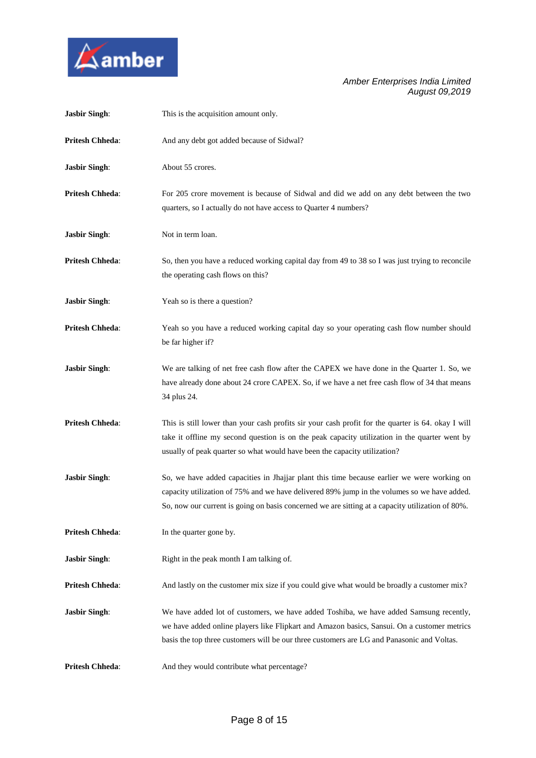

| <b>Jasbir Singh:</b>   | This is the acquisition amount only.                                                                                                                                                                                                                                                          |
|------------------------|-----------------------------------------------------------------------------------------------------------------------------------------------------------------------------------------------------------------------------------------------------------------------------------------------|
| <b>Pritesh Chheda:</b> | And any debt got added because of Sidwal?                                                                                                                                                                                                                                                     |
| <b>Jasbir Singh:</b>   | About 55 crores.                                                                                                                                                                                                                                                                              |
| <b>Pritesh Chheda:</b> | For 205 crore movement is because of Sidwal and did we add on any debt between the two<br>quarters, so I actually do not have access to Quarter 4 numbers?                                                                                                                                    |
| <b>Jasbir Singh:</b>   | Not in term loan.                                                                                                                                                                                                                                                                             |
| <b>Pritesh Chheda:</b> | So, then you have a reduced working capital day from 49 to 38 so I was just trying to reconcile<br>the operating cash flows on this?                                                                                                                                                          |
| <b>Jasbir Singh:</b>   | Yeah so is there a question?                                                                                                                                                                                                                                                                  |
| <b>Pritesh Chheda:</b> | Yeah so you have a reduced working capital day so your operating cash flow number should<br>be far higher if?                                                                                                                                                                                 |
| <b>Jasbir Singh:</b>   | We are talking of net free cash flow after the CAPEX we have done in the Quarter 1. So, we<br>have already done about 24 crore CAPEX. So, if we have a net free cash flow of 34 that means<br>34 plus 24.                                                                                     |
| <b>Pritesh Chheda:</b> | This is still lower than your cash profits sir your cash profit for the quarter is 64. okay I will<br>take it offline my second question is on the peak capacity utilization in the quarter went by<br>usually of peak quarter so what would have been the capacity utilization?              |
| <b>Jasbir Singh:</b>   | So, we have added capacities in Jhajjar plant this time because earlier we were working on<br>capacity utilization of 75% and we have delivered 89% jump in the volumes so we have added.<br>So, now our current is going on basis concerned we are sitting at a capacity utilization of 80%. |
| <b>Pritesh Chheda:</b> | In the quarter gone by.                                                                                                                                                                                                                                                                       |
| <b>Jasbir Singh:</b>   | Right in the peak month I am talking of.                                                                                                                                                                                                                                                      |
| <b>Pritesh Chheda:</b> | And lastly on the customer mix size if you could give what would be broadly a customer mix?                                                                                                                                                                                                   |
| <b>Jasbir Singh:</b>   | We have added lot of customers, we have added Toshiba, we have added Samsung recently,<br>we have added online players like Flipkart and Amazon basics, Sansui. On a customer metrics<br>basis the top three customers will be our three customers are LG and Panasonic and Voltas.           |
| <b>Pritesh Chheda:</b> | And they would contribute what percentage?                                                                                                                                                                                                                                                    |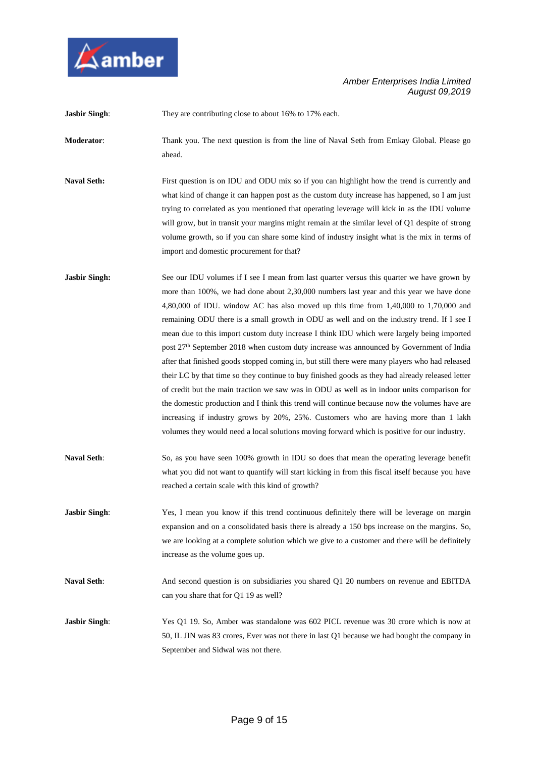

**Jasbir Singh:** They are contributing close to about 16% to 17% each.

**Moderator:** Thank you. The next question is from the line of Naval Seth from Emkay Global. Please go ahead.

**Naval Seth:** First question is on IDU and ODU mix so if you can highlight how the trend is currently and what kind of change it can happen post as the custom duty increase has happened, so I am just trying to correlated as you mentioned that operating leverage will kick in as the IDU volume will grow, but in transit your margins might remain at the similar level of Q1 despite of strong volume growth, so if you can share some kind of industry insight what is the mix in terms of import and domestic procurement for that?

**Jasbir Singh:** See our IDU volumes if I see I mean from last quarter versus this quarter we have grown by more than 100%, we had done about 2,30,000 numbers last year and this year we have done 4,80,000 of IDU. window AC has also moved up this time from 1,40,000 to 1,70,000 and remaining ODU there is a small growth in ODU as well and on the industry trend. If I see I mean due to this import custom duty increase I think IDU which were largely being imported post 27th September 2018 when custom duty increase was announced by Government of India after that finished goods stopped coming in, but still there were many players who had released their LC by that time so they continue to buy finished goods as they had already released letter of credit but the main traction we saw was in ODU as well as in indoor units comparison for the domestic production and I think this trend will continue because now the volumes have are increasing if industry grows by 20%, 25%. Customers who are having more than 1 lakh volumes they would need a local solutions moving forward which is positive for our industry.

- **Naval Seth**: So, as you have seen 100% growth in IDU so does that mean the operating leverage benefit what you did not want to quantify will start kicking in from this fiscal itself because you have reached a certain scale with this kind of growth?
- **Jasbir Singh:** Yes, I mean you know if this trend continuous definitely there will be leverage on margin expansion and on a consolidated basis there is already a 150 bps increase on the margins. So, we are looking at a complete solution which we give to a customer and there will be definitely increase as the volume goes up.

**Naval Seth**: And second question is on subsidiaries you shared Q1 20 numbers on revenue and EBITDA can you share that for Q1 19 as well?

**Jasbir Singh:** Yes Q1 19. So, Amber was standalone was 602 PICL revenue was 30 crore which is now at 50, IL JIN was 83 crores, Ever was not there in last Q1 because we had bought the company in September and Sidwal was not there.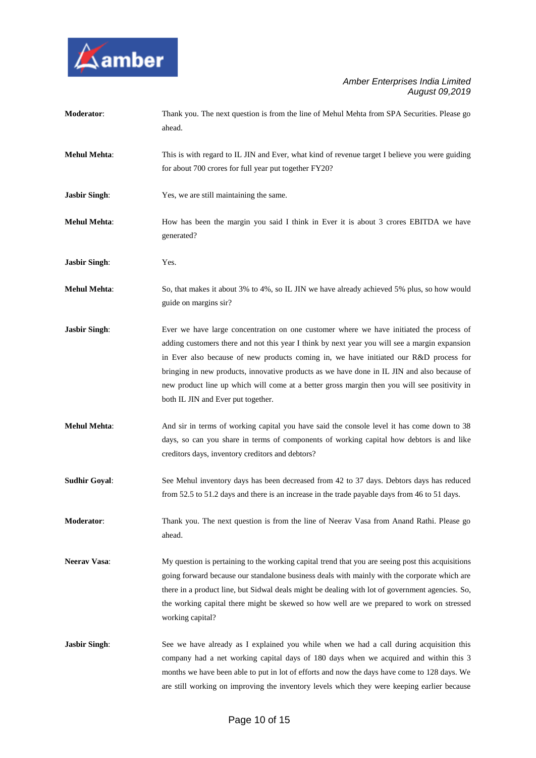

| Moderator:           | Thank you. The next question is from the line of Mehul Mehta from SPA Securities. Please go<br>ahead.                                                                                                                                                                                                                                                                                                                                                                                                                  |
|----------------------|------------------------------------------------------------------------------------------------------------------------------------------------------------------------------------------------------------------------------------------------------------------------------------------------------------------------------------------------------------------------------------------------------------------------------------------------------------------------------------------------------------------------|
| <b>Mehul Mehta:</b>  | This is with regard to IL JIN and Ever, what kind of revenue target I believe you were guiding<br>for about 700 crores for full year put together FY20?                                                                                                                                                                                                                                                                                                                                                                |
| <b>Jasbir Singh:</b> | Yes, we are still maintaining the same.                                                                                                                                                                                                                                                                                                                                                                                                                                                                                |
| <b>Mehul Mehta:</b>  | How has been the margin you said I think in Ever it is about 3 crores EBITDA we have<br>generated?                                                                                                                                                                                                                                                                                                                                                                                                                     |
| <b>Jasbir Singh:</b> | Yes.                                                                                                                                                                                                                                                                                                                                                                                                                                                                                                                   |
| <b>Mehul Mehta:</b>  | So, that makes it about 3% to 4%, so IL JIN we have already achieved 5% plus, so how would<br>guide on margins sir?                                                                                                                                                                                                                                                                                                                                                                                                    |
| <b>Jasbir Singh:</b> | Ever we have large concentration on one customer where we have initiated the process of<br>adding customers there and not this year I think by next year you will see a margin expansion<br>in Ever also because of new products coming in, we have initiated our R&D process for<br>bringing in new products, innovative products as we have done in IL JIN and also because of<br>new product line up which will come at a better gross margin then you will see positivity in<br>both IL JIN and Ever put together. |
| <b>Mehul Mehta:</b>  | And sir in terms of working capital you have said the console level it has come down to 38<br>days, so can you share in terms of components of working capital how debtors is and like<br>creditors days, inventory creditors and debtors?                                                                                                                                                                                                                                                                             |
| <b>Sudhir Goyal:</b> | See Mehul inventory days has been decreased from 42 to 37 days. Debtors days has reduced<br>from 52.5 to 51.2 days and there is an increase in the trade payable days from 46 to 51 days.                                                                                                                                                                                                                                                                                                                              |
| <b>Moderator:</b>    | Thank you. The next question is from the line of Neerav Vasa from Anand Rathi. Please go<br>ahead.                                                                                                                                                                                                                                                                                                                                                                                                                     |
| <b>Neerav Vasa:</b>  | My question is pertaining to the working capital trend that you are seeing post this acquisitions<br>going forward because our standalone business deals with mainly with the corporate which are<br>there in a product line, but Sidwal deals might be dealing with lot of government agencies. So,<br>the working capital there might be skewed so how well are we prepared to work on stressed<br>working capital?                                                                                                  |
| <b>Jasbir Singh:</b> | See we have already as I explained you while when we had a call during acquisition this<br>company had a net working capital days of 180 days when we acquired and within this 3<br>months we have been able to put in lot of efforts and now the days have come to 128 days. We<br>are still working on improving the inventory levels which they were keeping earlier because                                                                                                                                        |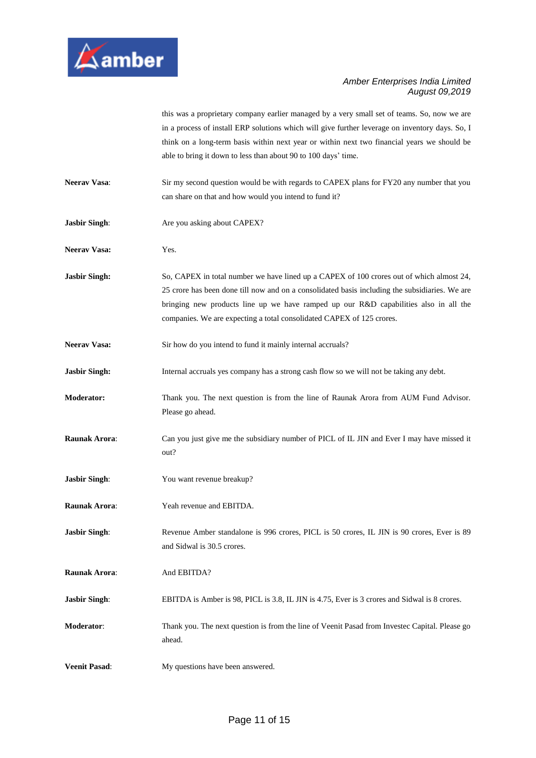

this was a proprietary company earlier managed by a very small set of teams. So, now we are in a process of install ERP solutions which will give further leverage on inventory days. So, I think on a long-term basis within next year or within next two financial years we should be able to bring it down to less than about 90 to 100 days' time.

- **Neerav Vasa:** Sir my second question would be with regards to CAPEX plans for FY20 any number that you can share on that and how would you intend to fund it?
- **Jasbir Singh:** Are you asking about CAPEX?
- **Neerav Vasa:** Yes.
- **Jasbir Singh:** So, CAPEX in total number we have lined up a CAPEX of 100 crores out of which almost 24, 25 crore has been done till now and on a consolidated basis including the subsidiaries. We are bringing new products line up we have ramped up our R&D capabilities also in all the companies. We are expecting a total consolidated CAPEX of 125 crores.
- Neerav Vasa: Sir how do you intend to fund it mainly internal accruals?
- **Jasbir Singh:** Internal accruals yes company has a strong cash flow so we will not be taking any debt.
- **Moderator:** Thank you. The next question is from the line of Raunak Arora from AUM Fund Advisor. Please go ahead.
- **Raunak Arora**: Can you just give me the subsidiary number of PICL of IL JIN and Ever I may have missed it out?
- **Jasbir Singh:** You want revenue breakup?
- **Raunak Arora**: Yeah revenue and EBITDA.
- **Jasbir Singh:** Revenue Amber standalone is 996 crores, PICL is 50 crores, IL JIN is 90 crores, Ever is 89 and Sidwal is 30.5 crores.
- **Raunak Arora:** And EBITDA?
- **Jasbir Singh:** EBITDA is Amber is 98, PICL is 3.8, IL JIN is 4.75, Ever is 3 crores and Sidwal is 8 crores.
- **Moderator**: Thank you. The next question is from the line of Veenit Pasad from Investec Capital. Please go ahead.
- **Veenit Pasad:** My questions have been answered.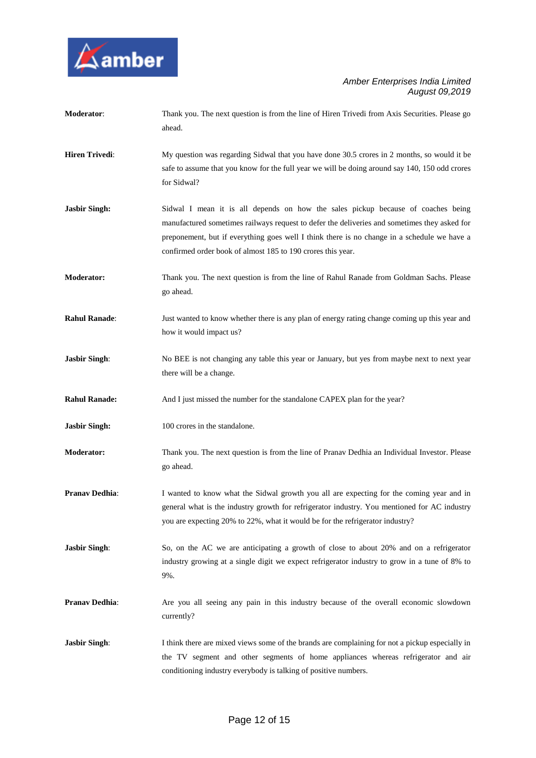

| <b>Moderator:</b>     | Thank you. The next question is from the line of Hiren Trivedi from Axis Securities. Please go<br>ahead.                                                                                                                                                                                                                                       |
|-----------------------|------------------------------------------------------------------------------------------------------------------------------------------------------------------------------------------------------------------------------------------------------------------------------------------------------------------------------------------------|
| <b>Hiren Trivedi:</b> | My question was regarding Sidwal that you have done 30.5 crores in 2 months, so would it be<br>safe to assume that you know for the full year we will be doing around say 140, 150 odd crores<br>for Sidwal?                                                                                                                                   |
| <b>Jasbir Singh:</b>  | Sidwal I mean it is all depends on how the sales pickup because of coaches being<br>manufactured sometimes railways request to defer the deliveries and sometimes they asked for<br>preponement, but if everything goes well I think there is no change in a schedule we have a<br>confirmed order book of almost 185 to 190 crores this year. |
| <b>Moderator:</b>     | Thank you. The next question is from the line of Rahul Ranade from Goldman Sachs. Please<br>go ahead.                                                                                                                                                                                                                                          |
| <b>Rahul Ranade:</b>  | Just wanted to know whether there is any plan of energy rating change coming up this year and<br>how it would impact us?                                                                                                                                                                                                                       |
| <b>Jasbir Singh:</b>  | No BEE is not changing any table this year or January, but yes from maybe next to next year<br>there will be a change.                                                                                                                                                                                                                         |
| <b>Rahul Ranade:</b>  | And I just missed the number for the standalone CAPEX plan for the year?                                                                                                                                                                                                                                                                       |
| <b>Jasbir Singh:</b>  | 100 crores in the standalone.                                                                                                                                                                                                                                                                                                                  |
| <b>Moderator:</b>     | Thank you. The next question is from the line of Pranav Dedhia an Individual Investor. Please<br>go ahead.                                                                                                                                                                                                                                     |
| <b>Pranav Dedhia:</b> | I wanted to know what the Sidwal growth you all are expecting for the coming year and in<br>general what is the industry growth for refrigerator industry. You mentioned for AC industry<br>you are expecting 20% to 22%, what it would be for the refrigerator industry?                                                                      |
| <b>Jasbir Singh:</b>  | So, on the AC we are anticipating a growth of close to about 20% and on a refrigerator<br>industry growing at a single digit we expect refrigerator industry to grow in a tune of 8% to<br>9%.                                                                                                                                                 |
| <b>Pranav Dedhia:</b> | Are you all seeing any pain in this industry because of the overall economic slowdown<br>currently?                                                                                                                                                                                                                                            |
| <b>Jasbir Singh:</b>  | I think there are mixed views some of the brands are complaining for not a pickup especially in<br>the TV segment and other segments of home appliances whereas refrigerator and air<br>conditioning industry everybody is talking of positive numbers.                                                                                        |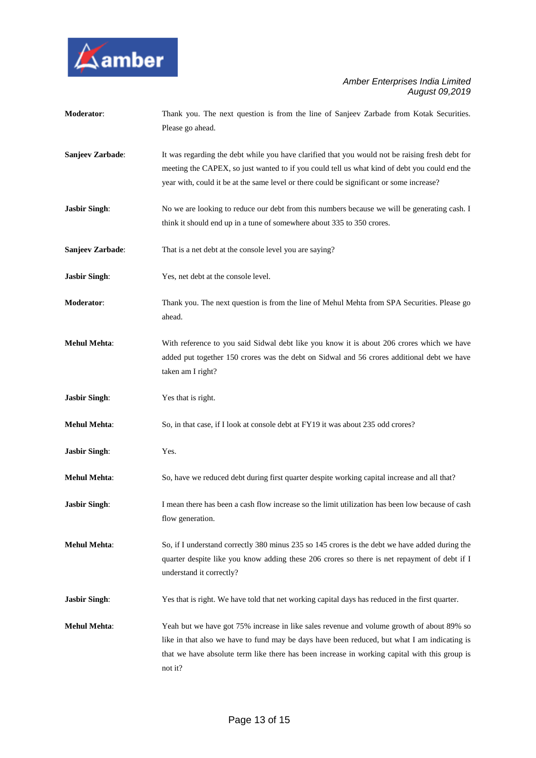

| Moderator:           | Thank you. The next question is from the line of Sanjeev Zarbade from Kotak Securities.<br>Please go ahead.                                                                                                                                                                                           |
|----------------------|-------------------------------------------------------------------------------------------------------------------------------------------------------------------------------------------------------------------------------------------------------------------------------------------------------|
| Sanjeev Zarbade:     | It was regarding the debt while you have clarified that you would not be raising fresh debt for<br>meeting the CAPEX, so just wanted to if you could tell us what kind of debt you could end the<br>year with, could it be at the same level or there could be significant or some increase?          |
| <b>Jasbir Singh:</b> | No we are looking to reduce our debt from this numbers because we will be generating cash. I<br>think it should end up in a tune of somewhere about 335 to 350 crores.                                                                                                                                |
| Sanjeev Zarbade:     | That is a net debt at the console level you are saying?                                                                                                                                                                                                                                               |
| <b>Jasbir Singh:</b> | Yes, net debt at the console level.                                                                                                                                                                                                                                                                   |
| Moderator:           | Thank you. The next question is from the line of Mehul Mehta from SPA Securities. Please go<br>ahead.                                                                                                                                                                                                 |
| <b>Mehul Mehta:</b>  | With reference to you said Sidwal debt like you know it is about 206 crores which we have<br>added put together 150 crores was the debt on Sidwal and 56 crores additional debt we have<br>taken am I right?                                                                                          |
| <b>Jasbir Singh:</b> | Yes that is right.                                                                                                                                                                                                                                                                                    |
| <b>Mehul Mehta:</b>  | So, in that case, if I look at console debt at FY19 it was about 235 odd crores?                                                                                                                                                                                                                      |
| <b>Jasbir Singh:</b> | Yes.                                                                                                                                                                                                                                                                                                  |
| <b>Mehul Mehta:</b>  | So, have we reduced debt during first quarter despite working capital increase and all that?                                                                                                                                                                                                          |
| <b>Jasbir Singh:</b> | I mean there has been a cash flow increase so the limit utilization has been low because of cash<br>flow generation.                                                                                                                                                                                  |
| <b>Mehul Mehta:</b>  | So, if I understand correctly 380 minus 235 so 145 crores is the debt we have added during the<br>quarter despite like you know adding these 206 crores so there is net repayment of debt if I<br>understand it correctly?                                                                            |
| <b>Jasbir Singh:</b> | Yes that is right. We have told that net working capital days has reduced in the first quarter.                                                                                                                                                                                                       |
| <b>Mehul Mehta:</b>  | Yeah but we have got 75% increase in like sales revenue and volume growth of about 89% so<br>like in that also we have to fund may be days have been reduced, but what I am indicating is<br>that we have absolute term like there has been increase in working capital with this group is<br>not it? |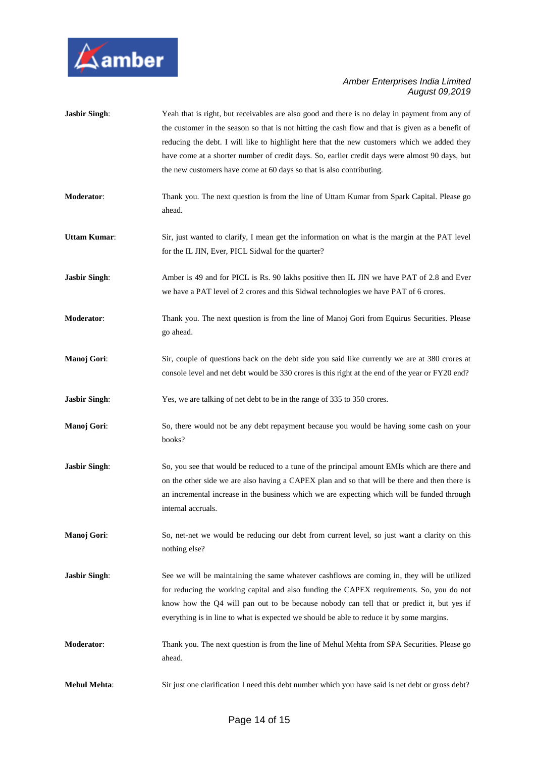

| <b>Jasbir Singh:</b> | Yeah that is right, but receivables are also good and there is no delay in payment from any of<br>the customer in the season so that is not hitting the cash flow and that is given as a benefit of<br>reducing the debt. I will like to highlight here that the new customers which we added they<br>have come at a shorter number of credit days. So, earlier credit days were almost 90 days, but<br>the new customers have come at 60 days so that is also contributing. |
|----------------------|------------------------------------------------------------------------------------------------------------------------------------------------------------------------------------------------------------------------------------------------------------------------------------------------------------------------------------------------------------------------------------------------------------------------------------------------------------------------------|
| Moderator:           | Thank you. The next question is from the line of Uttam Kumar from Spark Capital. Please go<br>ahead.                                                                                                                                                                                                                                                                                                                                                                         |
| <b>Uttam Kumar:</b>  | Sir, just wanted to clarify, I mean get the information on what is the margin at the PAT level<br>for the IL JIN, Ever, PICL Sidwal for the quarter?                                                                                                                                                                                                                                                                                                                         |
| <b>Jasbir Singh:</b> | Amber is 49 and for PICL is Rs. 90 lakhs positive then IL JIN we have PAT of 2.8 and Ever<br>we have a PAT level of 2 crores and this Sidwal technologies we have PAT of 6 crores.                                                                                                                                                                                                                                                                                           |
| Moderator:           | Thank you. The next question is from the line of Manoj Gori from Equirus Securities. Please<br>go ahead.                                                                                                                                                                                                                                                                                                                                                                     |
| Manoj Gori:          | Sir, couple of questions back on the debt side you said like currently we are at 380 crores at<br>console level and net debt would be 330 crores is this right at the end of the year or FY20 end?                                                                                                                                                                                                                                                                           |
| <b>Jasbir Singh:</b> | Yes, we are talking of net debt to be in the range of 335 to 350 crores.                                                                                                                                                                                                                                                                                                                                                                                                     |
| Manoj Gori:          | So, there would not be any debt repayment because you would be having some cash on your<br>books?                                                                                                                                                                                                                                                                                                                                                                            |
| Jasbir Singh:        | So, you see that would be reduced to a tune of the principal amount EMIs which are there and<br>on the other side we are also having a CAPEX plan and so that will be there and then there is<br>an incremental increase in the business which we are expecting which will be funded through<br>internal accruals.                                                                                                                                                           |
| Manoj Gori:          | So, net-net we would be reducing our debt from current level, so just want a clarity on this<br>nothing else?                                                                                                                                                                                                                                                                                                                                                                |
| <b>Jasbir Singh:</b> | See we will be maintaining the same whatever cashflows are coming in, they will be utilized<br>for reducing the working capital and also funding the CAPEX requirements. So, you do not<br>know how the Q4 will pan out to be because nobody can tell that or predict it, but yes if<br>everything is in line to what is expected we should be able to reduce it by some margins.                                                                                            |
| Moderator:           | Thank you. The next question is from the line of Mehul Mehta from SPA Securities. Please go<br>ahead.                                                                                                                                                                                                                                                                                                                                                                        |
| <b>Mehul Mehta:</b>  | Sir just one clarification I need this debt number which you have said is net debt or gross debt?                                                                                                                                                                                                                                                                                                                                                                            |